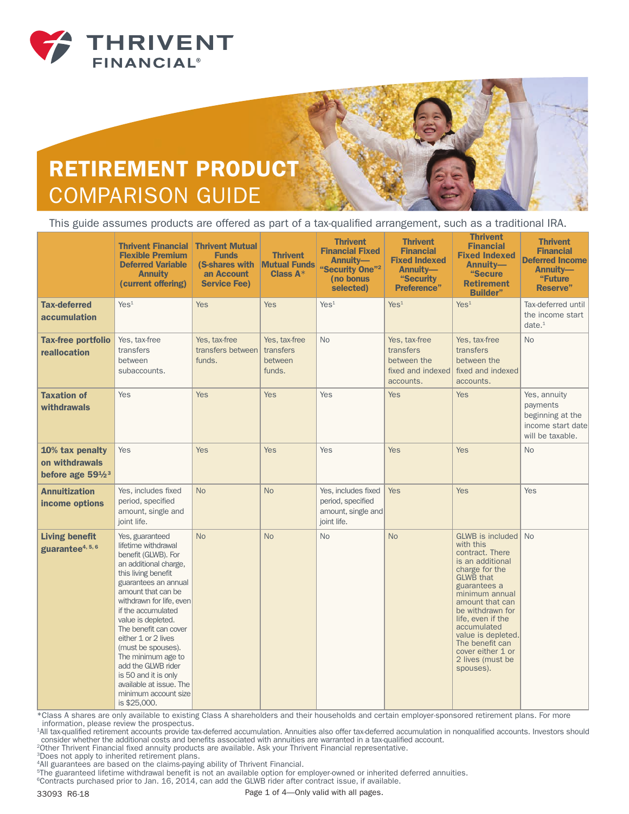

## RETIREMENT PRODUCT COMPARISON GUIDE

This guide assumes products are offered as part of a tax-qualified arrangement, such as a traditional IRA.

|                                                                    | <b>Thrivent Financial</b><br><b>Flexible Premium</b><br><b>Deferred Variable</b><br><b>Annuity</b><br>(current offering)                                                                                                                                                                                                                                                                                                                         | <b>Thrivent Mutual</b><br><b>Funds</b><br>(S-shares with<br>an Account<br><b>Service Fee)</b> | <b>Thrivent</b><br><b>Mutual Funds</b><br>Class $A^*$ | <b>Thrivent</b><br><b>Financial Fixed</b><br><b>Annuity-</b><br>"Security One" <sup>2</sup><br>(no bonus<br>selected) | <b>Thrivent</b><br><b>Financial</b><br><b>Fixed Indexed</b><br>Annuity-<br>"Security<br><b>Preference</b> " | <b>Thrivent</b><br><b>Financial</b><br><b>Fixed Indexed</b><br>Annuity-<br>"Secure<br><b>Retirement</b><br><b>Builder"</b>                                                                                                                                                                                                | <b>Thrivent</b><br><b>Financial</b><br><b>Deferred Income</b><br>Annuitv-<br>"Future<br><b>Reserve</b> " |
|--------------------------------------------------------------------|--------------------------------------------------------------------------------------------------------------------------------------------------------------------------------------------------------------------------------------------------------------------------------------------------------------------------------------------------------------------------------------------------------------------------------------------------|-----------------------------------------------------------------------------------------------|-------------------------------------------------------|-----------------------------------------------------------------------------------------------------------------------|-------------------------------------------------------------------------------------------------------------|---------------------------------------------------------------------------------------------------------------------------------------------------------------------------------------------------------------------------------------------------------------------------------------------------------------------------|----------------------------------------------------------------------------------------------------------|
| <b>Tax-deferred</b><br>accumulation                                | Yes <sup>1</sup>                                                                                                                                                                                                                                                                                                                                                                                                                                 | <b>Yes</b>                                                                                    | <b>Yes</b>                                            | Yes <sup>1</sup>                                                                                                      | Yes <sup>1</sup>                                                                                            | Yes <sup>1</sup>                                                                                                                                                                                                                                                                                                          | Tax-deferred until<br>the income start<br>date. <sup>1</sup>                                             |
| <b>Tax-free portfolio</b><br>reallocation                          | Yes, tax-free<br>transfers<br>between<br>subaccounts.                                                                                                                                                                                                                                                                                                                                                                                            | Yes, tax-free<br>transfers between<br>funds.                                                  | Yes, tax-free<br>transfers<br>between<br>funds.       | No                                                                                                                    | Yes, tax-free<br>transfers<br>between the<br>fixed and indexed<br>accounts.                                 | Yes, tax-free<br>transfers<br>between the<br>fixed and indexed<br>accounts.                                                                                                                                                                                                                                               | <b>No</b>                                                                                                |
| <b>Taxation of</b><br>withdrawals                                  | Yes                                                                                                                                                                                                                                                                                                                                                                                                                                              | <b>Yes</b>                                                                                    | <b>Yes</b>                                            | Yes                                                                                                                   | <b>Yes</b>                                                                                                  | <b>Yes</b>                                                                                                                                                                                                                                                                                                                | Yes, annuity<br>payments<br>beginning at the<br>income start date<br>will be taxable.                    |
| 10% tax penalty<br>on withdrawals<br>before age 591/2 <sup>3</sup> | <b>Yes</b>                                                                                                                                                                                                                                                                                                                                                                                                                                       | <b>Yes</b>                                                                                    | <b>Yes</b>                                            | Yes                                                                                                                   | <b>Yes</b>                                                                                                  | <b>Yes</b>                                                                                                                                                                                                                                                                                                                | <b>No</b>                                                                                                |
| <b>Annuitization</b><br>income options                             | Yes, includes fixed<br>period, specified<br>amount, single and<br>joint life.                                                                                                                                                                                                                                                                                                                                                                    | <b>No</b>                                                                                     | <b>No</b>                                             | Yes, includes fixed<br>period, specified<br>amount, single and<br>joint life.                                         | <b>Yes</b>                                                                                                  | <b>Yes</b>                                                                                                                                                                                                                                                                                                                | Yes                                                                                                      |
| <b>Living benefit</b><br>guarantee4, 5, 6                          | Yes, guaranteed<br>lifetime withdrawal<br>benefit (GLWB). For<br>an additional charge,<br>this living benefit<br>guarantees an annual<br>amount that can be<br>withdrawn for life, even<br>if the accumulated<br>value is depleted.<br>The benefit can cover<br>either 1 or 2 lives<br>(must be spouses).<br>The minimum age to<br>add the GLWB rider<br>is 50 and it is only<br>available at issue. The<br>minimum account size<br>is \$25,000. | <b>No</b>                                                                                     | <b>No</b>                                             | <b>No</b>                                                                                                             | <b>No</b>                                                                                                   | GLWB is included No<br>with this<br>contract. There<br>is an additional<br>charge for the<br><b>GLWB</b> that<br>guarantees a<br>minimum annual<br>amount that can<br>be withdrawn for<br>life, even if the<br>accumulated<br>value is depleted.<br>The benefit can<br>cover either 1 or<br>2 lives (must be<br>spouses). |                                                                                                          |

\*Class A shares are only available to existing Class A shareholders and their households and certain employer-sponsored retirement plans. For more information, please review the prospectus.

1All tax-qualified retirement accounts provide tax-deferred accumulation. Annuities also offer tax-deferred accumulation in nonqualified accounts. Investors should consider whether the additional costs and benefits associated with annuities are warranted in a tax-qualified account.

2Other Thrivent Financial fixed annuity products are available. Ask your Thrivent Financial representative.

<sup>3</sup>Does not apply to inherited retirement plans.

4All guarantees are based on the claims-paying ability of Thrivent Financial.

<sup>5</sup>The guaranteed lifetime withdrawal benefit is not an available option for employer-owned or inherited deferred annuities.

<sup>6</sup>Contracts purchased prior to Jan. 16, 2014, can add the GLWB rider after contract issue, if available.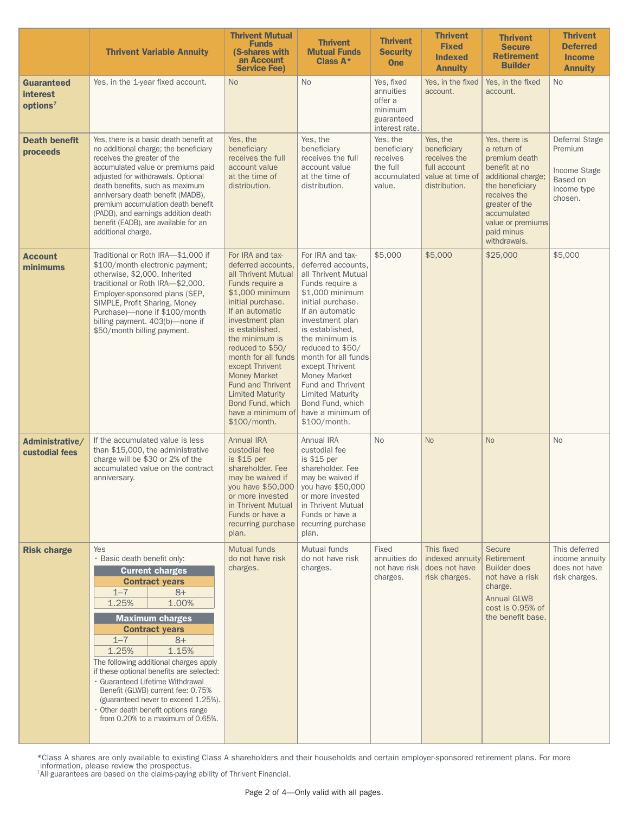|                                                       | <b>Thrivent Variable Annuity</b>                                                                                                                                                                                                                                                                                                                                                                                                                                                                     | <b>Thrivent Mutual</b><br><b>Funds</b><br>(S-shares with<br>an Account<br><b>Service Fee)</b>                                                                                                                                                                                                                                                                                                            | <b>Thrivent</b><br><b>Mutual Funds</b><br>Class $A^*$                                                                                                                                                                                                                                                                                                                                             | <b>Thrivent</b><br><b>Security</b><br><b>One</b>                              | <b>Thrivent</b><br><b>Fixed</b><br><b>Indexed</b><br><b>Annuity</b>                          | <b>Thrivent</b><br><b>Secure</b><br><b>Retirement</b><br><b>Builder</b>                                                                                                                                     | <b>Thrivent</b><br><b>Deferred</b><br><b>Income</b><br><b>Annuity</b>           |
|-------------------------------------------------------|------------------------------------------------------------------------------------------------------------------------------------------------------------------------------------------------------------------------------------------------------------------------------------------------------------------------------------------------------------------------------------------------------------------------------------------------------------------------------------------------------|----------------------------------------------------------------------------------------------------------------------------------------------------------------------------------------------------------------------------------------------------------------------------------------------------------------------------------------------------------------------------------------------------------|---------------------------------------------------------------------------------------------------------------------------------------------------------------------------------------------------------------------------------------------------------------------------------------------------------------------------------------------------------------------------------------------------|-------------------------------------------------------------------------------|----------------------------------------------------------------------------------------------|-------------------------------------------------------------------------------------------------------------------------------------------------------------------------------------------------------------|---------------------------------------------------------------------------------|
| Guaranteed<br><b>interest</b><br>options <sup>7</sup> | Yes, in the 1-year fixed account.                                                                                                                                                                                                                                                                                                                                                                                                                                                                    | <b>No</b>                                                                                                                                                                                                                                                                                                                                                                                                | <b>No</b>                                                                                                                                                                                                                                                                                                                                                                                         | Yes, fixed<br>annuities<br>offer a<br>minimum<br>guaranteed<br>interest rate. | Yes, in the fixed<br>account.                                                                | Yes, in the fixed<br>account.                                                                                                                                                                               | <b>No</b>                                                                       |
| <b>Death benefit</b><br>proceeds                      | Yes, there is a basic death benefit at<br>no additional charge; the beneficiary<br>receives the greater of the<br>accumulated value or premiums paid<br>adjusted for withdrawals. Optional<br>death benefits, such as maximum<br>anniversary death benefit (MADB),<br>premium accumulation death benefit<br>(PADB), and earnings addition death<br>benefit (EADB), are available for an<br>additional charge.                                                                                        | Yes, the<br>beneficiary<br>receives the full<br>account value<br>at the time of<br>distribution.                                                                                                                                                                                                                                                                                                         | Yes, the<br>beneficiary<br>receives the full<br>account value<br>at the time of<br>distribution.                                                                                                                                                                                                                                                                                                  | Yes, the<br>beneficiary<br>receives<br>the full<br>accumulated<br>value.      | Yes, the<br>beneficiary<br>receives the<br>full account<br>value at time of<br>distribution. | Yes, there is<br>a return of<br>premium death<br>benefit at no<br>additional charge;<br>the beneficiary<br>receives the<br>greater of the<br>accumulated<br>value or premiums<br>paid minus<br>withdrawals. | Deferral Stage<br>Premium<br>Income Stage<br>Based on<br>income type<br>chosen. |
| <b>Account</b><br>minimums                            | Traditional or Roth IRA-\$1,000 if<br>\$100/month electronic payment;<br>otherwise, \$2,000. Inherited<br>traditional or Roth IRA-\$2,000.<br>Employer-sponsored plans (SEP,<br>SIMPLE, Profit Sharing, Money<br>Purchase)-none if \$100/month<br>billing payment. 403(b)-none if<br>\$50/month billing payment.                                                                                                                                                                                     | For IRA and tax-<br>deferred accounts.<br>all Thrivent Mutual<br>Funds require a<br>\$1,000 minimum<br>initial purchase.<br>If an automatic<br>investment plan<br>is established,<br>the minimum is<br>reduced to \$50/<br>month for all funds<br>except Thrivent<br><b>Money Market</b><br><b>Fund and Thrivent</b><br><b>Limited Maturity</b><br>Bond Fund, which<br>have a minimum of<br>\$100/month. | For IRA and tax-<br>deferred accounts,<br>all Thrivent Mutual<br>Funds require a<br>\$1,000 minimum<br>initial purchase.<br>If an automatic<br>investment plan<br>is established.<br>the minimum is<br>reduced to \$50/<br>month for all funds<br>except Thrivent<br><b>Money Market</b><br>Fund and Thrivent<br><b>Limited Maturity</b><br>Bond Fund, which<br>have a minimum of<br>\$100/month. | \$5,000                                                                       | \$5,000                                                                                      | \$25,000                                                                                                                                                                                                    | \$5,000                                                                         |
| Administrative/<br>custodial fees                     | If the accumulated value is less<br>than \$15,000, the administrative<br>charge will be \$30 or 2% of the<br>accumulated value on the contract<br>anniversary.                                                                                                                                                                                                                                                                                                                                       | <b>Annual IRA</b><br>custodial fee<br>is \$15 per<br>shareholder. Fee<br>may be waived if<br>you have \$50,000<br>or more invested<br>in Thrivent Mutual<br>Funds or have a<br>recurring purchase<br>plan.                                                                                                                                                                                               | <b>Annual IRA</b><br>custodial fee<br>is \$15 per<br>shareholder. Fee<br>may be waived if<br>you have \$50,000<br>or more invested<br>in Thrivent Mutual<br>Funds or have a<br>recurring purchase<br>plan.                                                                                                                                                                                        | <b>No</b>                                                                     | <b>No</b>                                                                                    | <b>No</b>                                                                                                                                                                                                   | <b>No</b>                                                                       |
| <b>Risk charge</b>                                    | Yes<br>· Basic death benefit only:<br><b>Current charges</b><br><b>Contract years</b><br>$1 - 7$<br>$8+$<br>1.25%<br>1.00%<br><b>Maximum charges</b><br><b>Contract years</b><br>$1 - 7$<br>$8+$<br>1.25%<br>1.15%<br>The following additional charges apply<br>if these optional benefits are selected:<br>· Guaranteed Lifetime Withdrawal<br>Benefit (GLWB) current fee: 0.75%<br>(guaranteed never to exceed 1.25%).<br>• Other death benefit options range<br>from 0.20% to a maximum of 0.65%. | <b>Mutual funds</b><br>do not have risk<br>charges.                                                                                                                                                                                                                                                                                                                                                      | Mutual funds<br>do not have risk<br>charges.                                                                                                                                                                                                                                                                                                                                                      | Fixed<br>annuities do<br>not have risk<br>charges.                            | This fixed<br>indexed annuity<br>does not have<br>risk charges.                              | <b>Secure</b><br>Retirement<br><b>Builder does</b><br>not have a risk<br>charge.<br><b>Annual GLWB</b><br>cost is 0.95% of<br>the benefit base.                                                             | This deferred<br>income annuity<br>does not have<br>risk charges.               |

\*Class A shares are only available to existing Class A shareholders and their households and certain employer-sponsored retirement plans. For more information, please review the prospectus. 7All guarantees are based on the claims-paying ability of Thrivent Financial.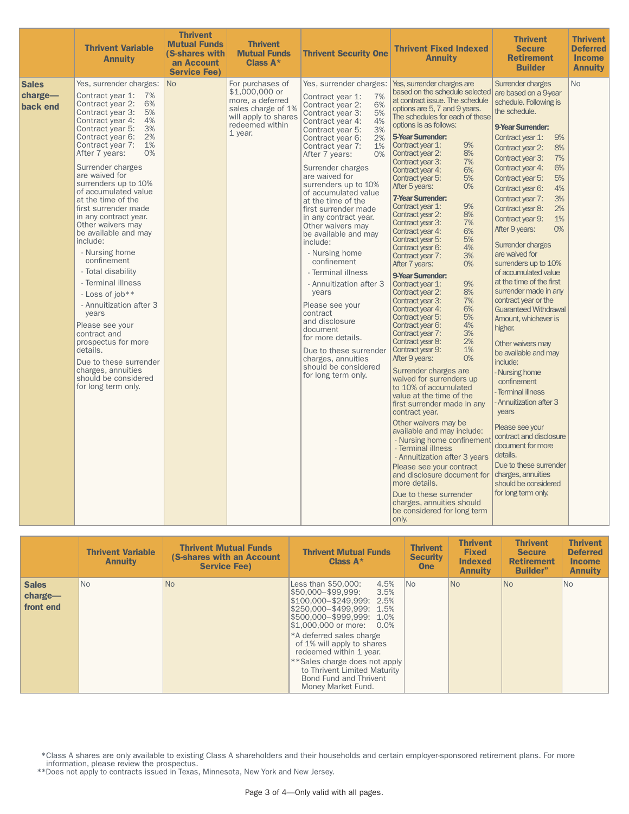|                                     | <b>Thrivent Variable</b><br><b>Annuity</b>                                                                                                                                                                                                                                                                                                                                                                                                                                                                                                                                                                                                                                                                                                                            | <b>Thrivent</b><br><b>Mutual Funds</b><br>(S-shares with<br>an Account<br><b>Service Fee)</b> | <b>Thrivent</b><br><b>Mutual Funds</b><br>Class $A^*$                                                                              | <b>Thrivent Security One</b>                                                                                                                                                                                                                                                                                                                                                                                                                                                                                                                                                                                                                                                                                                             | <b>Thrivent Fixed Indexed</b><br><b>Annuity</b>                                                                                                                                                                                                                                                                                                                                                                                                                                                                                                                                                                                                                                                                                                                                                                                                                                                                                                                                                                                                                                                                                                                                                                                                                                                                                                                                                       | <b>Thrivent</b><br><b>Secure</b><br><b>Retirement</b><br><b>Builder</b>                                                                                                                                                                                                                                                                                                                                                                                                                                                                                                                                                                                                                                                                                                                                                                                                                                                                                              | <b>Thrivent</b><br><b>Deferred</b><br><b>Income</b><br><b>Annuity</b> |
|-------------------------------------|-----------------------------------------------------------------------------------------------------------------------------------------------------------------------------------------------------------------------------------------------------------------------------------------------------------------------------------------------------------------------------------------------------------------------------------------------------------------------------------------------------------------------------------------------------------------------------------------------------------------------------------------------------------------------------------------------------------------------------------------------------------------------|-----------------------------------------------------------------------------------------------|------------------------------------------------------------------------------------------------------------------------------------|------------------------------------------------------------------------------------------------------------------------------------------------------------------------------------------------------------------------------------------------------------------------------------------------------------------------------------------------------------------------------------------------------------------------------------------------------------------------------------------------------------------------------------------------------------------------------------------------------------------------------------------------------------------------------------------------------------------------------------------|-------------------------------------------------------------------------------------------------------------------------------------------------------------------------------------------------------------------------------------------------------------------------------------------------------------------------------------------------------------------------------------------------------------------------------------------------------------------------------------------------------------------------------------------------------------------------------------------------------------------------------------------------------------------------------------------------------------------------------------------------------------------------------------------------------------------------------------------------------------------------------------------------------------------------------------------------------------------------------------------------------------------------------------------------------------------------------------------------------------------------------------------------------------------------------------------------------------------------------------------------------------------------------------------------------------------------------------------------------------------------------------------------------|----------------------------------------------------------------------------------------------------------------------------------------------------------------------------------------------------------------------------------------------------------------------------------------------------------------------------------------------------------------------------------------------------------------------------------------------------------------------------------------------------------------------------------------------------------------------------------------------------------------------------------------------------------------------------------------------------------------------------------------------------------------------------------------------------------------------------------------------------------------------------------------------------------------------------------------------------------------------|-----------------------------------------------------------------------|
| <b>Sales</b><br>charge-<br>back end | Yes, surrender charges:<br>Contract year 1: 7%<br>6%<br>Contract year 2:<br>Contract year 3:<br>5%<br>4%<br>Contract year 4:<br>Contract year 5:<br>3%<br>2%<br>Contract year 6:<br>Contract year 7:<br>$1\%$<br>0%<br>After 7 years:<br>Surrender charges<br>are waived for<br>surrenders up to 10%<br>of accumulated value<br>at the time of the<br>first surrender made<br>in any contract year.<br>Other waivers may<br>be available and may<br>include:<br>- Nursing home<br>confinement<br>- Total disability<br>- Terminal illness<br>- Loss of job**<br>- Annuitization after 3<br>years<br>Please see your<br>contract and<br>prospectus for more<br>details.<br>Due to these surrender<br>charges, annuities<br>should be considered<br>for long term only. | <b>No</b>                                                                                     | For purchases of<br>\$1,000,000 or<br>more, a deferred<br>sales charge of 1%<br>will apply to shares<br>redeemed within<br>1 year. | Yes, surrender charges:<br>7%<br>Contract year 1:<br>Contract year 2:<br>6%<br>5%<br>Contract year 3:<br>Contract year 4:<br>4%<br>3%<br>Contract year 5:<br>2%<br>Contract year 6:<br>Contract year 7:<br>1%<br>0%<br>After 7 years:<br>Surrender charges<br>are waived for<br>surrenders up to 10%<br>of accumulated value<br>at the time of the<br>first surrender made<br>in any contract year.<br>Other waivers may<br>be available and may<br>include:<br>- Nursing home<br>confinement<br>- Terminal illness<br>- Annuitization after 3<br>years<br>Please see your<br>contract<br>and disclosure<br>document<br>for more details.<br>Due to these surrender<br>charges, annuities<br>should be considered<br>for long term only. | Yes, surrender charges are<br>based on the schedule selected<br>at contract issue. The schedule<br>options are 5, 7 and 9 years.<br>The schedules for each of these<br>options is as follows:<br><b>5-Year Surrender:</b><br>Contract vear 1:<br>9%<br>8%<br>Contract year 2:<br>7%<br>Contract year 3:<br>6%<br>Contract year 4:<br>Contract year 5:<br>5%<br>After 5 years:<br>O%<br><b>7-Year Surrender:</b><br>9%<br>Contract year 1:<br>Contract year 2:<br>8%<br>Contract year 3:<br>7%<br>6%<br>Contract year 4:<br>5%<br>Contract year 5:<br>4%<br>Contract year 6:<br>Contract year 7:<br>3%<br>0%<br>After 7 years:<br>9-Year Surrender:<br>9%<br>Contract year 1:<br>8%<br>Contract year 2:<br>7%<br>Contract year 3:<br>Contract year 4:<br>6%<br>5%<br>Contract year 5:<br>4%<br>Contract year 6:<br>3%<br>Contract year 7:<br>2%<br>Contract year 8:<br>1%<br>Contract year 9:<br>After 9 years:<br>0%<br>Surrender charges are<br>waived for surrenders up<br>to 10% of accumulated<br>value at the time of the<br>first surrender made in any<br>contract year.<br>Other waivers may be<br>available and may include:<br>- Nursing home confinement<br>- Terminal illness<br>- Annuitization after 3 years<br>Please see your contract<br>and disclosure document for<br>more details.<br>Due to these surrender<br>charges, annuities should<br>be considered for long term<br>only. | Surrender charges<br>are based on a 9-year<br>schedule. Following is<br>the schedule.<br><b>9-Year Surrender:</b><br>Contract year 1:<br>9%<br>Contract year 2:<br>8%<br>Contract year 3:<br>7%<br>6%<br>Contract year 4:<br>Contract year 5:<br>5%<br>4%<br>Contract year 6:<br>Contract year 7:<br>3%<br>Contract year 8:<br>2%<br>Contract year 9:<br>1%<br>After 9 years:<br>0%<br>Surrender charges<br>are waived for<br>surrenders up to 10%<br>of accumulated value<br>at the time of the first<br>surrender made in any<br>contract year or the<br><b>Guaranteed Withdrawal</b><br>Amount, whichever is<br>higher.<br>Other waivers may<br>be available and may<br>include:<br>Nursing home<br>confinement<br><b>Terminal illness</b><br><b>Annuitization after 3</b><br>years<br>Please see your<br>contract and disclosure<br>document for more<br>details.<br>Due to these surrender<br>charges, annuities<br>should be considered<br>for long term only. | No                                                                    |

|                                      | <b>Thrivent Variable</b><br><b>Annuity</b> | <b>Thrivent Mutual Funds</b><br>(S-shares with an Account<br><b>Service Fee)</b> | <b>Thrivent Mutual Funds</b><br>Class $A^*$                                                                                                                                                                                                                                                                                           | <b>Thrivent</b><br><b>Security</b><br><b>One</b> | <b>Thrivent</b><br><b>Fixed</b><br><b>Indexed</b><br><b>Annuity</b> | <b>Thrivent</b><br><b>Secure</b><br><b>Retirement</b><br><b>Builder"</b> | <b>Thrivent</b><br><b>Deferred</b><br><b>Income</b><br><b>Annuity</b> |
|--------------------------------------|--------------------------------------------|----------------------------------------------------------------------------------|---------------------------------------------------------------------------------------------------------------------------------------------------------------------------------------------------------------------------------------------------------------------------------------------------------------------------------------|--------------------------------------------------|---------------------------------------------------------------------|--------------------------------------------------------------------------|-----------------------------------------------------------------------|
| <b>Sales</b><br>charge-<br>front end | No.                                        | <b>No</b>                                                                        | Less than \$50,000:<br>4.5%<br> \$50,000-\$99,999:<br>3.5%<br>\$100,000-\$249.999: 2.5%<br>\$250,000-\$499,999: 1.5%<br>\$500,000-\$999,999: 1.0%<br>\$1,000,000 or more: 0.0%<br>*A deferred sales charge<br>of 1% will apply to shares<br>redeemed within 1 year.<br>** Sales charge does not apply<br>to Thrivent Limited Maturity | IN <sub>o</sub>                                  | <b>No</b>                                                           | No.                                                                      | No                                                                    |
|                                      |                                            |                                                                                  | <b>Bond Fund and Thrivent</b><br>Money Market Fund.                                                                                                                                                                                                                                                                                   |                                                  |                                                                     |                                                                          |                                                                       |

\*Class A shares are only available to existing Class A shareholders and their households and certain employer-sponsored retirement plans. For more

information, please review the prospectus. \*\*Does not apply to contracts issued in Texas, Minnesota, New York and New Jersey.